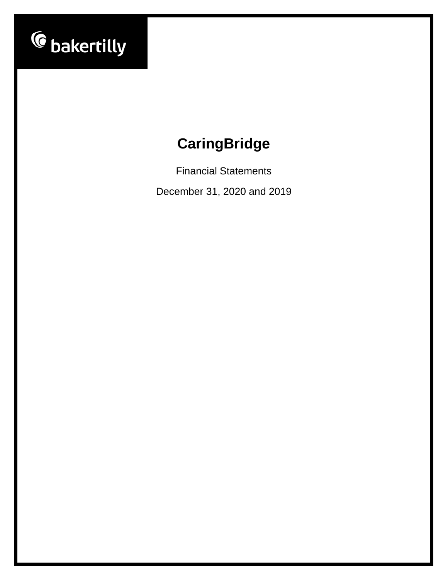

Financial Statements

December 31, 2020 and 2019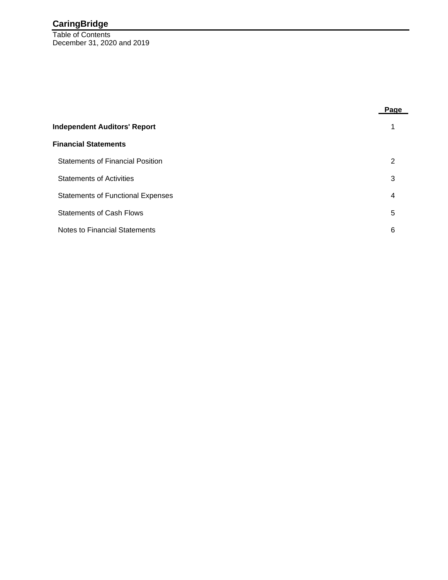Table of Contents December 31, 2020 and 2019

|                                          | Pa <u>qe</u> |
|------------------------------------------|--------------|
| <b>Independent Auditors' Report</b>      |              |
| <b>Financial Statements</b>              |              |
| <b>Statements of Financial Position</b>  | 2            |
| <b>Statements of Activities</b>          | 3            |
| <b>Statements of Functional Expenses</b> | 4            |
| <b>Statements of Cash Flows</b>          | 5            |
| Notes to Financial Statements            | 6            |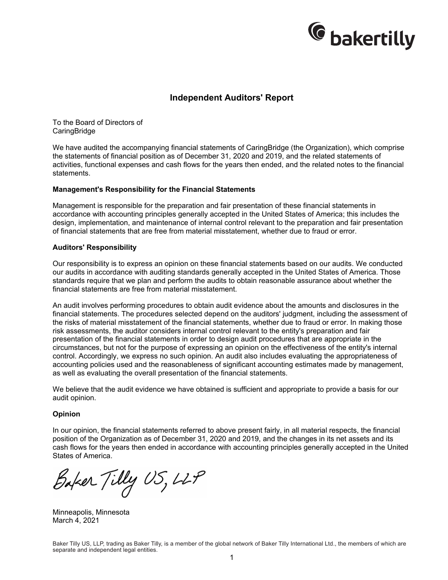

### **Independent Auditors' Report**

To the Board of Directors of **CaringBridge** 

We have audited the accompanying financial statements of CaringBridge (the Organization), which comprise the statements of financial position as of December 31, 2020 and 2019, and the related statements of activities, functional expenses and cash flows for the years then ended, and the related notes to the financial statements.

#### **Management's Responsibility for the Financial Statements**

Management is responsible for the preparation and fair presentation of these financial statements in accordance with accounting principles generally accepted in the United States of America; this includes the design, implementation, and maintenance of internal control relevant to the preparation and fair presentation of financial statements that are free from material misstatement, whether due to fraud or error.

#### **Auditors' Responsibility**

Our responsibility is to express an opinion on these financial statements based on our audits. We conducted our audits in accordance with auditing standards generally accepted in the United States of America. Those standards require that we plan and perform the audits to obtain reasonable assurance about whether the financial statements are free from material misstatement.

An audit involves performing procedures to obtain audit evidence about the amounts and disclosures in the financial statements. The procedures selected depend on the auditors' judgment, including the assessment of the risks of material misstatement of the financial statements, whether due to fraud or error. In making those risk assessments, the auditor considers internal control relevant to the entity's preparation and fair presentation of the financial statements in order to design audit procedures that are appropriate in the circumstances, but not for the purpose of expressing an opinion on the effectiveness of the entity's internal control. Accordingly, we express no such opinion. An audit also includes evaluating the appropriateness of accounting policies used and the reasonableness of significant accounting estimates made by management, as well as evaluating the overall presentation of the financial statements.

We believe that the audit evidence we have obtained is sufficient and appropriate to provide a basis for our audit opinion.

#### **Opinion**

In our opinion, the financial statements referred to above present fairly, in all material respects, the financial position of the Organization as of December 31, 2020 and 2019, and the changes in its net assets and its cash flows for the years then ended in accordance with accounting principles generally accepted in the United States of America.

Baker Tilly US, LLP

Minneapolis, Minnesota March 4, 2021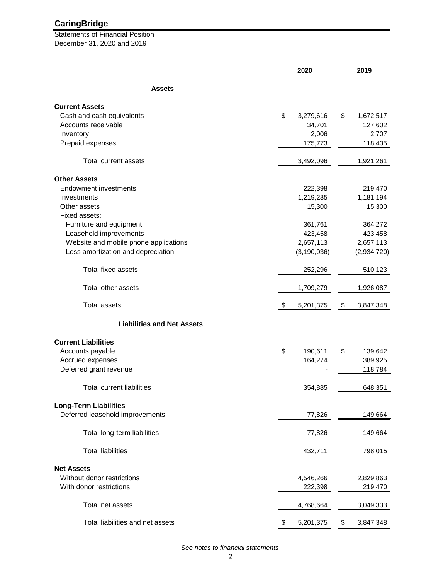Statements of Financial Position December 31, 2020 and 2019

|                                       | 2020            | 2019            |
|---------------------------------------|-----------------|-----------------|
| <b>Assets</b>                         |                 |                 |
| <b>Current Assets</b>                 |                 |                 |
| Cash and cash equivalents             | \$<br>3,279,616 | \$<br>1,672,517 |
| Accounts receivable                   | 34,701          | 127,602         |
| Inventory                             | 2,006           | 2,707           |
| Prepaid expenses                      | 175,773         | 118,435         |
| <b>Total current assets</b>           | 3,492,096       | 1,921,261       |
|                                       |                 |                 |
| <b>Other Assets</b>                   |                 |                 |
| <b>Endowment investments</b>          | 222,398         | 219,470         |
| Investments                           | 1,219,285       | 1,181,194       |
| Other assets                          | 15,300          | 15,300          |
| Fixed assets:                         |                 |                 |
| Furniture and equipment               | 361,761         | 364,272         |
| Leasehold improvements                | 423,458         | 423,458         |
| Website and mobile phone applications | 2,657,113       | 2,657,113       |
| Less amortization and depreciation    | (3, 190, 036)   | (2,934,720)     |
| <b>Total fixed assets</b>             | 252,296         | 510,123         |
| Total other assets                    | 1,709,279       | 1,926,087       |
| <b>Total assets</b>                   | 5,201,375<br>\$ | \$<br>3,847,348 |
| <b>Liabilities and Net Assets</b>     |                 |                 |
|                                       |                 |                 |
| <b>Current Liabilities</b>            |                 |                 |
| Accounts payable                      | \$<br>190,611   | \$<br>139,642   |
| Accrued expenses                      | 164,274         | 389,925         |
| Deferred grant revenue                |                 | 118,784         |
| <b>Total current liabilities</b>      | 354,885         | 648,351         |
| <b>Long-Term Liabilities</b>          |                 |                 |
| Deferred leasehold improvements       | 77,826          | 149,664         |
|                                       |                 |                 |
| Total long-term liabilities           | 77,826          | 149,664         |
| <b>Total liabilities</b>              | 432,711         | 798,015         |
| <b>Net Assets</b>                     |                 |                 |
| Without donor restrictions            | 4,546,266       | 2,829,863       |
| With donor restrictions               | 222,398         | 219,470         |
| Total net assets                      | 4,768,664       | 3,049,333       |
| Total liabilities and net assets      |                 |                 |
|                                       | 5,201,375<br>\$ | \$<br>3,847,348 |

*See notes to financial statements*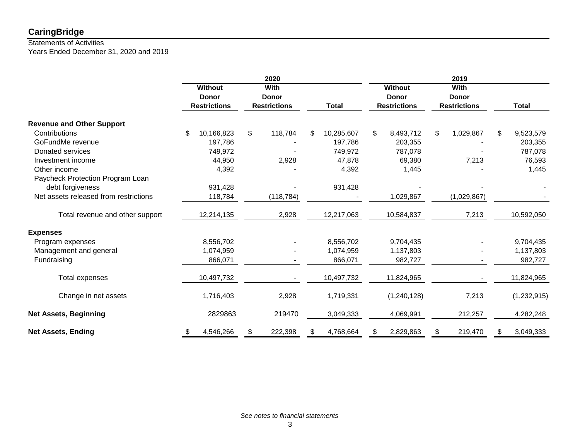# Statements of Activities

Years Ended December 31, 2020 and 2019

|                                       | <b>Without</b><br><b>Donor</b><br><b>Restrictions</b> | 2020<br>With<br><b>Donor</b><br><b>Restrictions</b> |    | <b>Total</b> | <b>Without</b><br><b>Donor</b><br><b>Restrictions</b> |                | 2019<br>With<br><b>Donor</b><br><b>Restrictions</b> |    | <b>Total</b> |
|---------------------------------------|-------------------------------------------------------|-----------------------------------------------------|----|--------------|-------------------------------------------------------|----------------|-----------------------------------------------------|----|--------------|
| <b>Revenue and Other Support</b>      |                                                       |                                                     |    |              |                                                       |                |                                                     |    |              |
| Contributions                         | \$<br>10,166,823                                      | \$<br>118,784                                       | \$ | 10,285,607   | \$<br>8,493,712                                       | $\mathfrak{S}$ | 1,029,867                                           | \$ | 9,523,579    |
| GoFundMe revenue                      | 197,786                                               |                                                     |    | 197,786      | 203,355                                               |                |                                                     |    | 203,355      |
| Donated services                      | 749,972                                               |                                                     |    | 749,972      | 787,078                                               |                |                                                     |    | 787,078      |
| Investment income                     | 44,950                                                | 2,928                                               |    | 47,878       | 69,380                                                |                | 7,213                                               |    | 76,593       |
| Other income                          | 4,392                                                 |                                                     |    | 4,392        | 1,445                                                 |                |                                                     |    | 1,445        |
| Paycheck Protection Program Loan      |                                                       |                                                     |    |              |                                                       |                |                                                     |    |              |
| debt forgiveness                      | 931,428                                               |                                                     |    | 931,428      |                                                       |                |                                                     |    |              |
| Net assets released from restrictions | 118,784                                               | (118, 784)                                          |    |              | 1,029,867                                             |                | (1,029,867)                                         |    |              |
| Total revenue and other support       | 12,214,135                                            | 2,928                                               |    | 12,217,063   | 10,584,837                                            |                | 7,213                                               |    | 10,592,050   |
| <b>Expenses</b>                       |                                                       |                                                     |    |              |                                                       |                |                                                     |    |              |
| Program expenses                      | 8,556,702                                             |                                                     |    | 8,556,702    | 9,704,435                                             |                |                                                     |    | 9,704,435    |
| Management and general                | 1,074,959                                             |                                                     |    | 1,074,959    | 1,137,803                                             |                |                                                     |    | 1,137,803    |
| Fundraising                           | 866,071                                               |                                                     |    | 866,071      | 982,727                                               |                |                                                     |    | 982,727      |
| <b>Total expenses</b>                 | 10,497,732                                            | $\overline{\phantom{a}}$                            |    | 10,497,732   | 11,824,965                                            |                |                                                     |    | 11,824,965   |
| Change in net assets                  | 1,716,403                                             | 2,928                                               |    | 1,719,331    | (1,240,128)                                           |                | 7,213                                               |    | (1,232,915)  |
| <b>Net Assets, Beginning</b>          | 2829863                                               | 219470                                              |    | 3,049,333    | 4,069,991                                             |                | 212,257                                             |    | 4,282,248    |
| <b>Net Assets, Ending</b>             | \$<br>4,546,266                                       | \$<br>222,398                                       | S. | 4,768,664    | \$<br>2,829,863                                       | \$             | 219,470                                             | S  | 3,049,333    |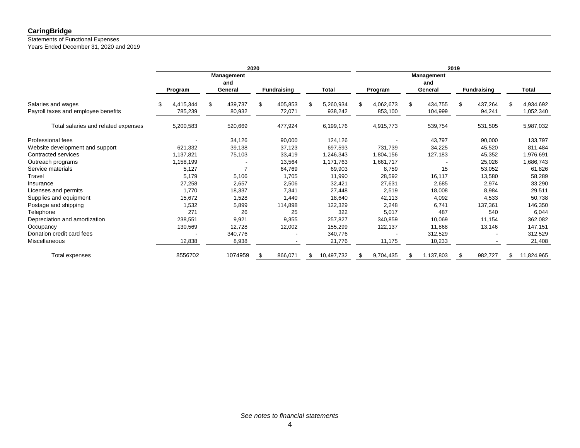### Statements of Functional Expenses

Years Ended December 31, 2020 and 2019

|                                                           | 2020                        |                                     |                         |                            | 2019                       |                                     |                          |                              |  |
|-----------------------------------------------------------|-----------------------------|-------------------------------------|-------------------------|----------------------------|----------------------------|-------------------------------------|--------------------------|------------------------------|--|
|                                                           | <b>Program</b>              | <b>Management</b><br>and<br>General | <b>Fundraising</b>      | <b>Total</b>               | Program                    | <b>Management</b><br>and<br>General | <b>Fundraising</b>       | <b>Total</b>                 |  |
| Salaries and wages<br>Payroll taxes and employee benefits | 4,415,344<br>\$.<br>785,239 | \$<br>439,737<br>80,932             | \$<br>405,853<br>72,071 | 5,260,934<br>\$<br>938,242 | \$<br>4,062,673<br>853,100 | \$<br>434,755<br>104,999            | 437,264<br>\$.<br>94,241 | 4,934,692<br>\$<br>1,052,340 |  |
| Total salaries and related expenses                       | 5,200,583                   | 520,669                             | 477,924                 | 6,199,176                  | 4,915,773                  | 539,754                             | 531,505                  | 5,987,032                    |  |
| Professional fees                                         |                             | 34,126                              | 90,000                  | 124,126                    |                            | 43,797                              | 90,000                   | 133,797                      |  |
| Website development and support                           | 621,332                     | 39,138                              | 37,123                  | 697,593                    | 731,739                    | 34,225                              | 45,520                   | 811,484                      |  |
| Contracted services                                       | 1,137,821                   | 75,103                              | 33,419                  | 1,246,343                  | 1,804,156                  | 127,183                             | 45,352                   | 1,976,691                    |  |
| Outreach programs                                         | 1,158,199                   |                                     | 13,564                  | 1,171,763                  | 1,661,717                  |                                     | 25,026                   | 1,686,743                    |  |
| Service materials                                         | 5,127                       | $\overline{7}$                      | 64,769                  | 69,903                     | 8,759                      | 15                                  | 53,052                   | 61,826                       |  |
| Travel                                                    | 5,179                       | 5,106                               | 1,705                   | 11,990                     | 28,592                     | 16,117                              | 13,580                   | 58,289                       |  |
| Insurance                                                 | 27,258                      | 2,657                               | 2,506                   | 32,421                     | 27,631                     | 2,685                               | 2,974                    | 33,290                       |  |
| Licenses and permits                                      | 1,770                       | 18,337                              | 7,341                   | 27,448                     | 2,519                      | 18,008                              | 8,984                    | 29,511                       |  |
| Supplies and equipment                                    | 15,672                      | 1,528                               | 1,440                   | 18,640                     | 42,113                     | 4,092                               | 4,533                    | 50,738                       |  |
| Postage and shipping                                      | 1,532                       | 5,899                               | 114,898                 | 122,329                    | 2,248                      | 6,741                               | 137,361                  | 146,350                      |  |
| Telephone                                                 | 271                         | 26                                  | 25                      | 322                        | 5,017                      | 487                                 | 540                      | 6,044                        |  |
| Depreciation and amortization                             | 238,551                     | 9,921                               | 9,355                   | 257,827                    | 340,859                    | 10,069                              | 11,154                   | 362,082                      |  |
| Occupancy                                                 | 130,569                     | 12,728                              | 12,002                  | 155,299                    | 122,137                    | 11,868                              | 13,146                   | 147,151                      |  |
| Donation credit card fees                                 |                             | 340,776                             |                         | 340,776                    |                            | 312,529                             |                          | 312,529                      |  |
| Miscellaneous                                             | 12,838                      | 8,938                               |                         | 21,776                     | 11,175                     | 10,233                              |                          | 21,408                       |  |
| Total expenses                                            | 8556702                     | 1074959                             | 866,071<br>-S           | 10,497,732<br>\$           | 9,704,435<br>S             | 1,137,803<br>ß.                     | 982,727                  | 11,824,965<br>\$             |  |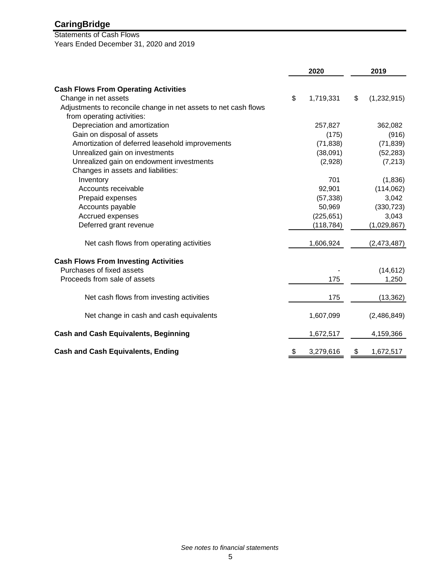# Statements of Cash Flows Years Ended December 31, 2020 and 2019

|                                                                 | 2020 |            | 2019              |  |
|-----------------------------------------------------------------|------|------------|-------------------|--|
| <b>Cash Flows From Operating Activities</b>                     |      |            |                   |  |
| Change in net assets                                            | \$   | 1,719,331  | \$<br>(1,232,915) |  |
| Adjustments to reconcile change in net assets to net cash flows |      |            |                   |  |
| from operating activities:                                      |      |            |                   |  |
| Depreciation and amortization                                   |      | 257,827    | 362,082           |  |
| Gain on disposal of assets                                      |      | (175)      | (916)             |  |
| Amortization of deferred leasehold improvements                 |      | (71, 838)  | (71, 839)         |  |
| Unrealized gain on investments                                  |      | (38,091)   | (52, 283)         |  |
| Unrealized gain on endowment investments                        |      | (2,928)    | (7, 213)          |  |
| Changes in assets and liabilities:                              |      |            |                   |  |
| Inventory                                                       |      | 701        | (1,836)           |  |
| Accounts receivable                                             |      | 92,901     | (114,062)         |  |
| Prepaid expenses                                                |      | (57, 338)  | 3,042             |  |
| Accounts payable                                                |      | 50,969     | (330, 723)        |  |
| Accrued expenses                                                |      | (225, 651) | 3,043             |  |
| Deferred grant revenue                                          |      | (118, 784) | (1,029,867)       |  |
|                                                                 |      |            |                   |  |
| Net cash flows from operating activities                        |      | 1,606,924  | (2,473,487)       |  |
| <b>Cash Flows From Investing Activities</b>                     |      |            |                   |  |
| Purchases of fixed assets                                       |      |            | (14, 612)         |  |
| Proceeds from sale of assets                                    |      | 175        | 1,250             |  |
| Net cash flows from investing activities                        |      | 175        | (13, 362)         |  |
| Net change in cash and cash equivalents                         |      | 1,607,099  | (2,486,849)       |  |
| <b>Cash and Cash Equivalents, Beginning</b>                     |      | 1,672,517  | 4,159,366         |  |
| <b>Cash and Cash Equivalents, Ending</b>                        | \$   | 3,279,616  | \$<br>1,672,517   |  |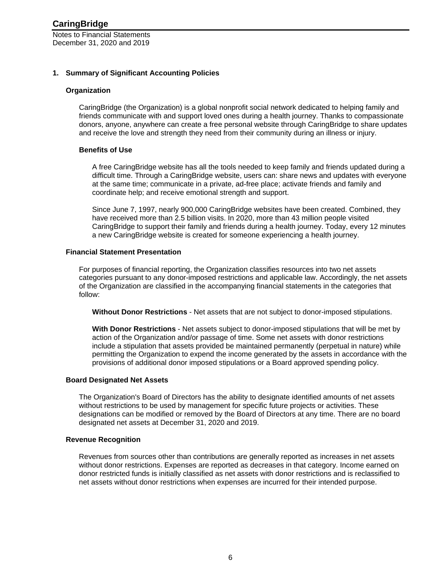#### **1. Summary of Significant Accounting Policies**

#### **Organization**

CaringBridge (the Organization) is a global nonprofit social network dedicated to helping family and friends communicate with and support loved ones during a health journey. Thanks to compassionate donors, anyone, anywhere can create a free personal website through CaringBridge to share updates and receive the love and strength they need from their community during an illness or injury.

#### **Benefits of Use**

A free CaringBridge website has all the tools needed to keep family and friends updated during a difficult time. Through a CaringBridge website, users can: share news and updates with everyone at the same time; communicate in a private, ad-free place; activate friends and family and coordinate help; and receive emotional strength and support.

Since June 7, 1997, nearly 900,000 CaringBridge websites have been created. Combined, they have received more than 2.5 billion visits. In 2020, more than 43 million people visited CaringBridge to support their family and friends during a health journey. Today, every 12 minutes a new CaringBridge website is created for someone experiencing a health journey.

#### **Financial Statement Presentation**

For purposes of financial reporting, the Organization classifies resources into two net assets categories pursuant to any donor-imposed restrictions and applicable law. Accordingly, the net assets of the Organization are classified in the accompanying financial statements in the categories that follow:

**Without Donor Restrictions** - Net assets that are not subject to donor-imposed stipulations.

**With Donor Restrictions** - Net assets subject to donor-imposed stipulations that will be met by action of the Organization and/or passage of time. Some net assets with donor restrictions include a stipulation that assets provided be maintained permanently (perpetual in nature) while permitting the Organization to expend the income generated by the assets in accordance with the provisions of additional donor imposed stipulations or a Board approved spending policy.

#### **Board Designated Net Assets**

The Organization's Board of Directors has the ability to designate identified amounts of net assets without restrictions to be used by management for specific future projects or activities. These designations can be modified or removed by the Board of Directors at any time. There are no board designated net assets at December 31, 2020 and 2019.

#### **Revenue Recognition**

Revenues from sources other than contributions are generally reported as increases in net assets without donor restrictions. Expenses are reported as decreases in that category. Income earned on donor restricted funds is initially classified as net assets with donor restrictions and is reclassified to net assets without donor restrictions when expenses are incurred for their intended purpose.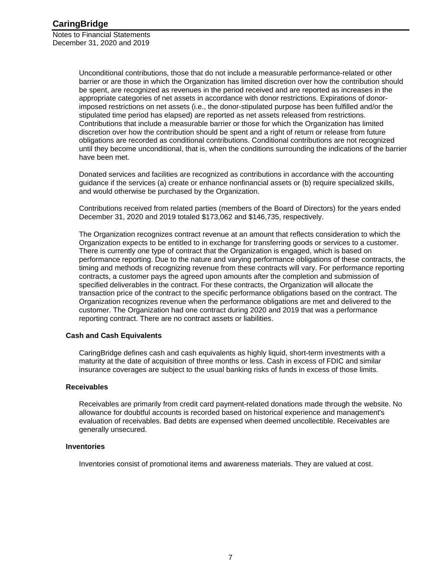> Unconditional contributions, those that do not include a measurable performance-related or other barrier or are those in which the Organization has limited discretion over how the contribution should be spent, are recognized as revenues in the period received and are reported as increases in the appropriate categories of net assets in accordance with donor restrictions. Expirations of donorimposed restrictions on net assets (i.e., the donor-stipulated purpose has been fulfilled and/or the stipulated time period has elapsed) are reported as net assets released from restrictions. Contributions that include a measurable barrier or those for which the Organization has limited discretion over how the contribution should be spent and a right of return or release from future obligations are recorded as conditional contributions. Conditional contributions are not recognized until they become unconditional, that is, when the conditions surrounding the indications of the barrier have been met.

Donated services and facilities are recognized as contributions in accordance with the accounting guidance if the services (a) create or enhance nonfinancial assets or (b) require specialized skills, and would otherwise be purchased by the Organization.

Contributions received from related parties (members of the Board of Directors) for the years ended December 31, 2020 and 2019 totaled \$173,062 and \$146,735, respectively.

The Organization recognizes contract revenue at an amount that reflects consideration to which the Organization expects to be entitled to in exchange for transferring goods or services to a customer. There is currently one type of contract that the Organization is engaged, which is based on performance reporting. Due to the nature and varying performance obligations of these contracts, the timing and methods of recognizing revenue from these contracts will vary. For performance reporting contracts, a customer pays the agreed upon amounts after the completion and submission of specified deliverables in the contract. For these contracts, the Organization will allocate the transaction price of the contract to the specific performance obligations based on the contract. The Organization recognizes revenue when the performance obligations are met and delivered to the customer. The Organization had one contract during 2020 and 2019 that was a performance reporting contract. There are no contract assets or liabilities.

#### **Cash and Cash Equivalents**

CaringBridge defines cash and cash equivalents as highly liquid, short-term investments with a maturity at the date of acquisition of three months or less. Cash in excess of FDIC and similar insurance coverages are subject to the usual banking risks of funds in excess of those limits.

#### **Receivables**

Receivables are primarily from credit card payment-related donations made through the website. No allowance for doubtful accounts is recorded based on historical experience and management's evaluation of receivables. Bad debts are expensed when deemed uncollectible. Receivables are generally unsecured.

#### **Inventories**

Inventories consist of promotional items and awareness materials. They are valued at cost.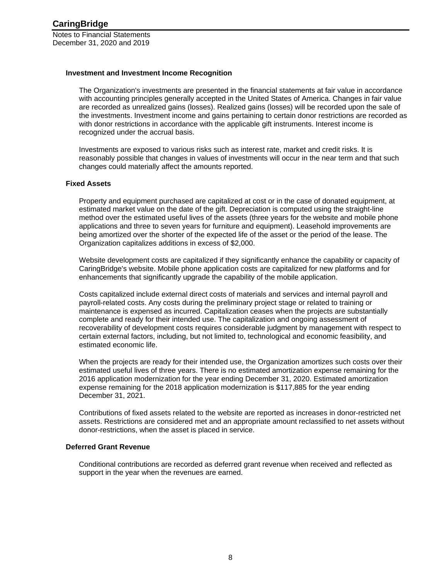#### **Investment and Investment Income Recognition**

The Organization's investments are presented in the financial statements at fair value in accordance with accounting principles generally accepted in the United States of America. Changes in fair value are recorded as unrealized gains (losses). Realized gains (losses) will be recorded upon the sale of the investments. Investment income and gains pertaining to certain donor restrictions are recorded as with donor restrictions in accordance with the applicable gift instruments. Interest income is recognized under the accrual basis.

Investments are exposed to various risks such as interest rate, market and credit risks. It is reasonably possible that changes in values of investments will occur in the near term and that such changes could materially affect the amounts reported.

#### **Fixed Assets**

Property and equipment purchased are capitalized at cost or in the case of donated equipment, at estimated market value on the date of the gift. Depreciation is computed using the straight-line method over the estimated useful lives of the assets (three years for the website and mobile phone applications and three to seven years for furniture and equipment). Leasehold improvements are being amortized over the shorter of the expected life of the asset or the period of the lease. The Organization capitalizes additions in excess of \$2,000.

Website development costs are capitalized if they significantly enhance the capability or capacity of CaringBridge's website. Mobile phone application costs are capitalized for new platforms and for enhancements that significantly upgrade the capability of the mobile application.

Costs capitalized include external direct costs of materials and services and internal payroll and payroll-related costs. Any costs during the preliminary project stage or related to training or maintenance is expensed as incurred. Capitalization ceases when the projects are substantially complete and ready for their intended use. The capitalization and ongoing assessment of recoverability of development costs requires considerable judgment by management with respect to certain external factors, including, but not limited to, technological and economic feasibility, and estimated economic life.

When the projects are ready for their intended use, the Organization amortizes such costs over their estimated useful lives of three years. There is no estimated amortization expense remaining for the 2016 application modernization for the year ending December 31, 2020. Estimated amortization expense remaining for the 2018 application modernization is \$117,885 for the year ending December 31, 2021.

Contributions of fixed assets related to the website are reported as increases in donor-restricted net assets. Restrictions are considered met and an appropriate amount reclassified to net assets without donor-restrictions, when the asset is placed in service.

#### **Deferred Grant Revenue**

Conditional contributions are recorded as deferred grant revenue when received and reflected as support in the year when the revenues are earned.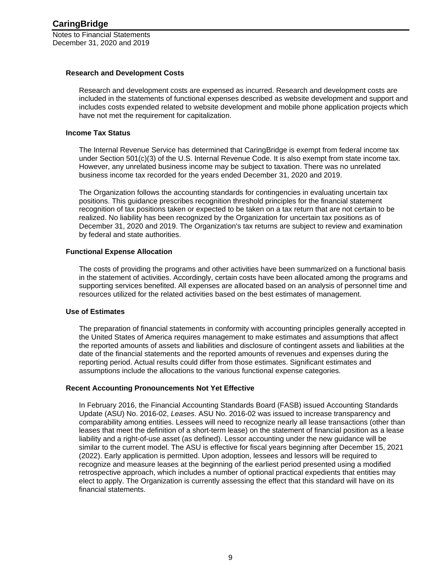#### **Research and Development Costs**

Research and development costs are expensed as incurred. Research and development costs are included in the statements of functional expenses described as website development and support and includes costs expended related to website development and mobile phone application projects which have not met the requirement for capitalization.

#### **Income Tax Status**

The Internal Revenue Service has determined that CaringBridge is exempt from federal income tax under Section 501(c)(3) of the U.S. Internal Revenue Code. It is also exempt from state income tax. However, any unrelated business income may be subject to taxation. There was no unrelated business income tax recorded for the years ended December 31, 2020 and 2019.

The Organization follows the accounting standards for contingencies in evaluating uncertain tax positions. This guidance prescribes recognition threshold principles for the financial statement recognition of tax positions taken or expected to be taken on a tax return that are not certain to be realized. No liability has been recognized by the Organization for uncertain tax positions as of December 31, 2020 and 2019. The Organization's tax returns are subject to review and examination by federal and state authorities.

#### **Functional Expense Allocation**

The costs of providing the programs and other activities have been summarized on a functional basis in the statement of activities. Accordingly, certain costs have been allocated among the programs and supporting services benefited. All expenses are allocated based on an analysis of personnel time and resources utilized for the related activities based on the best estimates of management.

#### **Use of Estimates**

The preparation of financial statements in conformity with accounting principles generally accepted in the United States of America requires management to make estimates and assumptions that affect the reported amounts of assets and liabilities and disclosure of contingent assets and liabilities at the date of the financial statements and the reported amounts of revenues and expenses during the reporting period. Actual results could differ from those estimates. Significant estimates and assumptions include the allocations to the various functional expense categories.

#### **Recent Accounting Pronouncements Not Yet Effective**

In February 2016, the Financial Accounting Standards Board (FASB) issued Accounting Standards Update (ASU) No. 2016-02, *Leases*. ASU No. 2016-02 was issued to increase transparency and comparability among entities. Lessees will need to recognize nearly all lease transactions (other than leases that meet the definition of a short-term lease) on the statement of financial position as a lease liability and a right-of-use asset (as defined). Lessor accounting under the new guidance will be similar to the current model. The ASU is effective for fiscal years beginning after December 15, 2021 (2022). Early application is permitted. Upon adoption, lessees and lessors will be required to recognize and measure leases at the beginning of the earliest period presented using a modified retrospective approach, which includes a number of optional practical expedients that entities may elect to apply. The Organization is currently assessing the effect that this standard will have on its financial statements.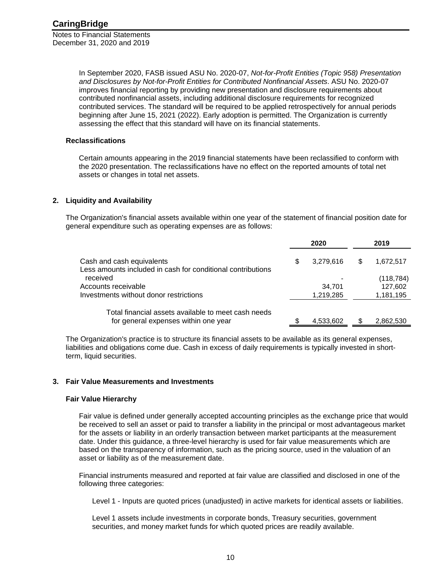> In September 2020, FASB issued ASU No. 2020-07, *Not-for-Profit Entities (Topic 958) Presentation and Disclosures by Not-for-Profit Entities for Contributed Nonfinancial Assets*. ASU No. 2020-07 improves financial reporting by providing new presentation and disclosure requirements about contributed nonfinancial assets, including additional disclosure requirements for recognized contributed services. The standard will be required to be applied retrospectively for annual periods beginning after June 15, 2021 (2022). Early adoption is permitted. The Organization is currently assessing the effect that this standard will have on its financial statements.

#### **Reclassifications**

Certain amounts appearing in the 2019 financial statements have been reclassified to conform with the 2020 presentation. The reclassifications have no effect on the reported amounts of total net assets or changes in total net assets.

#### **2. Liquidity and Availability**

The Organization's financial assets available within one year of the statement of financial position date for general expenditure such as operating expenses are as follows:

|                                                                         |  | 2020      |   | 2019       |
|-------------------------------------------------------------------------|--|-----------|---|------------|
| Cash and cash equivalents                                               |  | 3,279,616 | S | 1,672,517  |
| Less amounts included in cash for conditional contributions<br>received |  |           |   | (118, 784) |
| Accounts receivable                                                     |  | 34.701    |   | 127,602    |
| Investments without donor restrictions                                  |  | 1,219,285 |   | 1,181,195  |
| Total financial assets available to meet cash needs                     |  |           |   |            |
| for general expenses within one year                                    |  | 4,533,602 |   | 2,862,530  |

The Organization's practice is to structure its financial assets to be available as its general expenses, liabilities and obligations come due. Cash in excess of daily requirements is typically invested in shortterm, liquid securities.

#### **3. Fair Value Measurements and Investments**

#### **Fair Value Hierarchy**

Fair value is defined under generally accepted accounting principles as the exchange price that would be received to sell an asset or paid to transfer a liability in the principal or most advantageous market for the assets or liability in an orderly transaction between market participants at the measurement date. Under this guidance, a three-level hierarchy is used for fair value measurements which are based on the transparency of information, such as the pricing source, used in the valuation of an asset or liability as of the measurement date.

Financial instruments measured and reported at fair value are classified and disclosed in one of the following three categories:

Level 1 - Inputs are quoted prices (unadjusted) in active markets for identical assets or liabilities.

Level 1 assets include investments in corporate bonds, Treasury securities, government securities, and money market funds for which quoted prices are readily available.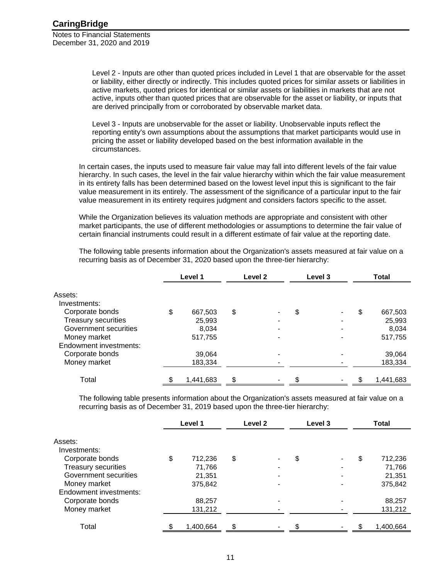> Level 2 - Inputs are other than quoted prices included in Level 1 that are observable for the asset or liability, either directly or indirectly. This includes quoted prices for similar assets or liabilities in active markets, quoted prices for identical or similar assets or liabilities in markets that are not active, inputs other than quoted prices that are observable for the asset or liability, or inputs that are derived principally from or corroborated by observable market data.

Level 3 - Inputs are unobservable for the asset or liability. Unobservable inputs reflect the reporting entity's own assumptions about the assumptions that market participants would use in pricing the asset or liability developed based on the best information available in the circumstances.

In certain cases, the inputs used to measure fair value may fall into different levels of the fair value hierarchy. In such cases, the level in the fair value hierarchy within which the fair value measurement in its entirety falls has been determined based on the lowest level input this is significant to the fair value measurement in its entirely. The assessment of the significance of a particular input to the fair value measurement in its entirety requires judgment and considers factors specific to the asset.

While the Organization believes its valuation methods are appropriate and consistent with other market participants, the use of different methodologies or assumptions to determine the fair value of certain financial instruments could result in a different estimate of fair value at the reporting date.

The following table presents information about the Organization's assets measured at fair value on a recurring basis as of December 31, 2020 based upon the three-tier hierarchy:

|                        | Level 1       | Level 2                  | Level 3 |    | <b>Total</b> |
|------------------------|---------------|--------------------------|---------|----|--------------|
| Assets:                |               |                          |         |    |              |
| Investments:           |               |                          |         |    |              |
| Corporate bonds        | \$<br>667,503 | \$                       | \$      | \$ | 667,503      |
| Treasury securities    | 25,993        | $\overline{\phantom{0}}$ | $\,$    |    | 25,993       |
| Government securities  | 8,034         |                          |         |    | 8,034        |
| Money market           | 517,755       |                          |         |    | 517,755      |
| Endowment investments: |               |                          |         |    |              |
| Corporate bonds        | 39,064        |                          |         |    | 39,064       |
| Money market           | 183,334       |                          |         |    | 183,334      |
|                        |               |                          |         |    |              |
| Total                  | 1,441,683     | \$                       |         | S  | 1,441,683    |

The following table presents information about the Organization's assets measured at fair value on a recurring basis as of December 31, 2019 based upon the three-tier hierarchy:

|                            | Level 1         | Level 2 | Level 3                        | <b>Total</b>  |
|----------------------------|-----------------|---------|--------------------------------|---------------|
| Assets:<br>Investments:    |                 |         |                                |               |
| Corporate bonds            | \$<br>712,236   | \$      | \$<br>$\overline{\phantom{a}}$ | \$<br>712,236 |
| <b>Treasury securities</b> | 71,766          |         |                                | 71,766        |
| Government securities      | 21,351          |         |                                | 21,351        |
| Money market               | 375,842         |         |                                | 375,842       |
| Endowment investments:     |                 |         |                                |               |
| Corporate bonds            | 88,257          |         |                                | 88,257        |
| Money market               | 131,212         |         |                                | 131,212       |
| Total                      | \$<br>1,400,664 |         | \$                             | 1,400,664     |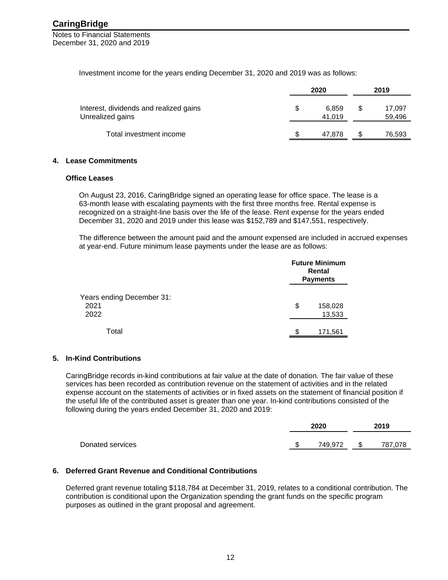Notes to Financial Statements December 31, 2020 and 2019

Investment income for the years ending December 31, 2020 and 2019 was as follows:

|                                                            | 2020 |                 |   | 2019             |  |  |
|------------------------------------------------------------|------|-----------------|---|------------------|--|--|
| Interest, dividends and realized gains<br>Unrealized gains | S    | 6,859<br>41.019 | S | 17,097<br>59,496 |  |  |
| Total investment income                                    |      | 47.878          |   | 76,593           |  |  |

#### **4. Lease Commitments**

#### **Office Leases**

On August 23, 2016, CaringBridge signed an operating lease for office space. The lease is a 63-month lease with escalating payments with the first three months free. Rental expense is recognized on a straight-line basis over the life of the lease. Rent expense for the years ended December 31, 2020 and 2019 under this lease was \$152,789 and \$147,551, respectively.

The difference between the amount paid and the amount expensed are included in accrued expenses at year-end. Future minimum lease payments under the lease are as follows:

|                                           | <b>Future Minimum</b><br>Rental<br><b>Payments</b> |
|-------------------------------------------|----------------------------------------------------|
| Years ending December 31:<br>2021<br>2022 | \$<br>158,028<br>13,533                            |
| Total                                     | \$<br>171,561                                      |

#### **5. In-Kind Contributions**

CaringBridge records in-kind contributions at fair value at the date of donation. The fair value of these services has been recorded as contribution revenue on the statement of activities and in the related expense account on the statements of activities or in fixed assets on the statement of financial position if the useful life of the contributed asset is greater than one year. In-kind contributions consisted of the following during the years ended December 31, 2020 and 2019:

|                  |    | 2020    | 2019 |         |  |
|------------------|----|---------|------|---------|--|
| Donated services | n. | 749.972 | \$.  | 787,078 |  |
|                  |    |         |      |         |  |

#### **6. Deferred Grant Revenue and Conditional Contributions**

Deferred grant revenue totaling \$118,784 at December 31, 2019, relates to a conditional contribution. The contribution is conditional upon the Organization spending the grant funds on the specific program purposes as outlined in the grant proposal and agreement.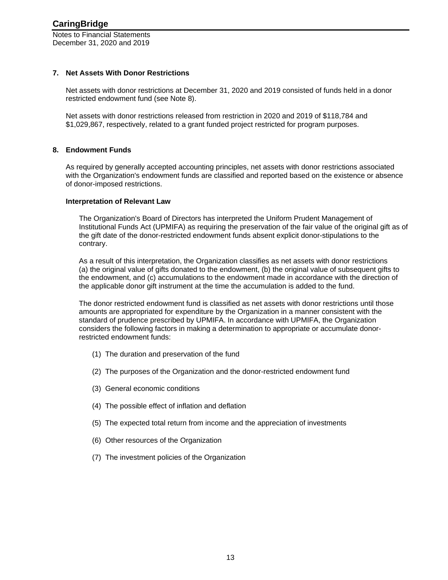#### **7. Net Assets With Donor Restrictions**

Net assets with donor restrictions at December 31, 2020 and 2019 consisted of funds held in a donor restricted endowment fund (see Note 8).

Net assets with donor restrictions released from restriction in 2020 and 2019 of \$118,784 and \$1,029,867, respectively, related to a grant funded project restricted for program purposes.

#### **8. Endowment Funds**

As required by generally accepted accounting principles, net assets with donor restrictions associated with the Organization's endowment funds are classified and reported based on the existence or absence of donor-imposed restrictions.

#### **Interpretation of Relevant Law**

The Organization's Board of Directors has interpreted the Uniform Prudent Management of Institutional Funds Act (UPMIFA) as requiring the preservation of the fair value of the original gift as of the gift date of the donor-restricted endowment funds absent explicit donor-stipulations to the contrary.

As a result of this interpretation, the Organization classifies as net assets with donor restrictions (a) the original value of gifts donated to the endowment, (b) the original value of subsequent gifts to the endowment, and (c) accumulations to the endowment made in accordance with the direction of the applicable donor gift instrument at the time the accumulation is added to the fund.

The donor restricted endowment fund is classified as net assets with donor restrictions until those amounts are appropriated for expenditure by the Organization in a manner consistent with the standard of prudence prescribed by UPMIFA. In accordance with UPMIFA, the Organization considers the following factors in making a determination to appropriate or accumulate donorrestricted endowment funds:

- (1) The duration and preservation of the fund
- (2) The purposes of the Organization and the donor-restricted endowment fund
- (3) General economic conditions
- (4) The possible effect of inflation and deflation
- (5) The expected total return from income and the appreciation of investments
- (6) Other resources of the Organization
- (7) The investment policies of the Organization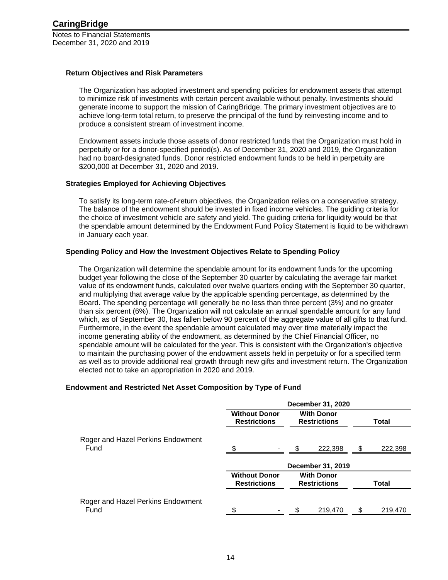#### **Return Objectives and Risk Parameters**

The Organization has adopted investment and spending policies for endowment assets that attempt to minimize risk of investments with certain percent available without penalty. Investments should generate income to support the mission of CaringBridge. The primary investment objectives are to achieve long-term total return, to preserve the principal of the fund by reinvesting income and to produce a consistent stream of investment income.

Endowment assets include those assets of donor restricted funds that the Organization must hold in perpetuity or for a donor-specified period(s). As of December 31, 2020 and 2019, the Organization had no board-designated funds. Donor restricted endowment funds to be held in perpetuity are \$200,000 at December 31, 2020 and 2019.

#### **Strategies Employed for Achieving Objectives**

To satisfy its long-term rate-of-return objectives, the Organization relies on a conservative strategy. The balance of the endowment should be invested in fixed income vehicles. The guiding criteria for the choice of investment vehicle are safety and yield. The guiding criteria for liquidity would be that the spendable amount determined by the Endowment Fund Policy Statement is liquid to be withdrawn in January each year.

#### **Spending Policy and How the Investment Objectives Relate to Spending Policy**

The Organization will determine the spendable amount for its endowment funds for the upcoming budget year following the close of the September 30 quarter by calculating the average fair market value of its endowment funds, calculated over twelve quarters ending with the September 30 quarter, and multiplying that average value by the applicable spending percentage, as determined by the Board. The spending percentage will generally be no less than three percent (3%) and no greater than six percent (6%). The Organization will not calculate an annual spendable amount for any fund which, as of September 30, has fallen below 90 percent of the aggregate value of all gifts to that fund. Furthermore, in the event the spendable amount calculated may over time materially impact the income generating ability of the endowment, as determined by the Chief Financial Officer, no spendable amount will be calculated for the year. This is consistent with the Organization's objective to maintain the purchasing power of the endowment assets held in perpetuity or for a specified term as well as to provide additional real growth through new gifts and investment return. The Organization elected not to take an appropriation in 2020 and 2019.

#### **Endowment and Restricted Net Asset Composition by Type of Fund**

|                                           |                                             | December 31, 2020                        |              |
|-------------------------------------------|---------------------------------------------|------------------------------------------|--------------|
|                                           | <b>Without Donor</b><br><b>Restrictions</b> | <b>With Donor</b><br><b>Restrictions</b> | Total        |
| Roger and Hazel Perkins Endowment<br>Fund |                                             | 222,398                                  | 222,398<br>S |
|                                           |                                             | December 31, 2019                        |              |
|                                           | <b>Without Donor</b><br><b>Restrictions</b> | <b>With Donor</b><br><b>Restrictions</b> | <b>Total</b> |
| Roger and Hazel Perkins Endowment<br>Fund | ፍ                                           | 219,470                                  | S<br>219.470 |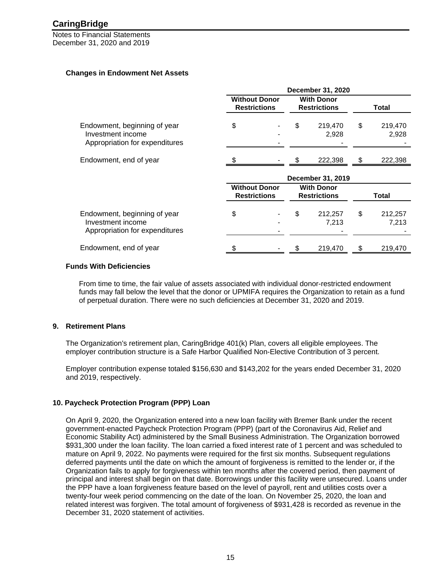Notes to Financial Statements December 31, 2020 and 2019

#### **Changes in Endowment Net Assets**

|                                                                                     | December 31, 2020                           |  |                                          |                  |              |                  |
|-------------------------------------------------------------------------------------|---------------------------------------------|--|------------------------------------------|------------------|--------------|------------------|
|                                                                                     | <b>Without Donor</b><br><b>Restrictions</b> |  | <b>With Donor</b><br><b>Restrictions</b> |                  | Total        |                  |
| Endowment, beginning of year<br>Investment income<br>Appropriation for expenditures | \$                                          |  | \$                                       | 219,470<br>2,928 | \$           | 219,470<br>2,928 |
| Endowment, end of year                                                              |                                             |  |                                          | 222,398          |              | 222,398          |
|                                                                                     | December 31, 2019                           |  |                                          |                  |              |                  |
|                                                                                     | <b>Without Donor</b><br><b>Restrictions</b> |  | <b>With Donor</b><br><b>Restrictions</b> |                  | <b>Total</b> |                  |
| Endowment, beginning of year<br>Investment income<br>Appropriation for expenditures | \$                                          |  | \$                                       | 212,257<br>7,213 | \$           | 212,257<br>7,213 |
| Endowment, end of year                                                              |                                             |  |                                          | 219,470          |              | 219,470          |

#### **Funds With Deficiencies**

From time to time, the fair value of assets associated with individual donor-restricted endowment funds may fall below the level that the donor or UPMIFA requires the Organization to retain as a fund of perpetual duration. There were no such deficiencies at December 31, 2020 and 2019.

#### **9. Retirement Plans**

The Organization's retirement plan, CaringBridge 401(k) Plan, covers all eligible employees. The employer contribution structure is a Safe Harbor Qualified Non-Elective Contribution of 3 percent.

Employer contribution expense totaled \$156,630 and \$143,202 for the years ended December 31, 2020 and 2019, respectively.

#### **10. Paycheck Protection Program (PPP) Loan**

On April 9, 2020, the Organization entered into a new loan facility with Bremer Bank under the recent government-enacted Paycheck Protection Program (PPP) (part of the Coronavirus Aid, Relief and Economic Stability Act) administered by the Small Business Administration. The Organization borrowed \$931,300 under the loan facility. The loan carried a fixed interest rate of 1 percent and was scheduled to mature on April 9, 2022. No payments were required for the first six months. Subsequent regulations deferred payments until the date on which the amount of forgiveness is remitted to the lender or, if the Organization fails to apply for forgiveness within ten months after the covered period, then payment of principal and interest shall begin on that date. Borrowings under this facility were unsecured. Loans under the PPP have a loan forgiveness feature based on the level of payroll, rent and utilities costs over a twenty-four week period commencing on the date of the loan. On November 25, 2020, the loan and related interest was forgiven. The total amount of forgiveness of \$931,428 is recorded as revenue in the December 31, 2020 statement of activities.